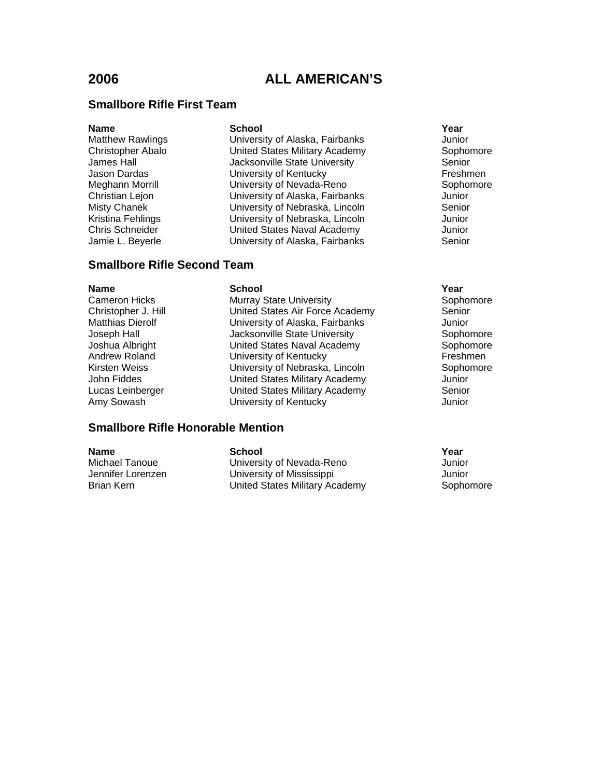## **Smallbore Rifle First Team**

### **Name School School School Xear**

Matthew Rawlings University of Alaska, Fairbanks Junior Christopher Abalo **Christopher Abalo** United States Military Academy<br>
James Hall Senior Clacksonville State University Senior Jacksonville State University Jason Dardas **National Exercise Contracts** University of Kentucky **Freshmen** Meghann Morrill **Meghann Morrill** University of Nevada-Reno **Network** Sophomore<br>
Christian Lejon **Network Christian Legion** University of Alaska, Fairbanks Misty Chanek University of Nebraska, Lincoln Senior Kristina Fehlings **National Contracts** University of Nebraska, Lincoln **Matter Strutters** Junior Chris Schneider United States Naval Academy Junior Jamie L. Beyerle University of Alaska, Fairbanks Senior

## **Smallbore Rifle Second Team**

| <b>Name</b>             | <b>School</b>                   | Year  |
|-------------------------|---------------------------------|-------|
| <b>Cameron Hicks</b>    | <b>Murray State University</b>  | Soph  |
| Christopher J. Hill     | United States Air Force Academy | Senio |
| <b>Matthias Dierolf</b> | University of Alaska, Fairbanks | Junic |
| Joseph Hall             | Jacksonville State University   | Soph  |
| Joshua Albright         | United States Naval Academy     | Soph  |
| Andrew Roland           | University of Kentucky          | Fresl |
| <b>Kirsten Weiss</b>    | University of Nebraska, Lincoln | Soph  |
| John Fiddes             | United States Military Academy  | Junic |
| Lucas Leinberger        | United States Military Academy  | Seni  |
| Amy Sowash              | University of Kentucky          | Junic |

Murray State University **Sophomore** Sophomore United States Air Force Academy Senior University of Alaska, Fairbanks Junior Jacksonville State University Sophomore United States Naval Academy Sophomore University of Kentucky<br>
University of Nebraska, Lincoln<br>
Sophomore University of Nebraska, Lincoln United States Military Academy Junior United States Military Academy Senior **University of Kentucky Company** Junior

## **Smallbore Rifle Honorable Mention**

| Name              | School                         | Year      |
|-------------------|--------------------------------|-----------|
| Michael Tanoue    | University of Nevada-Reno      | Junior    |
| Jennifer Lorenzen | University of Mississippi      | Junior    |
| Brian Kern        | United States Military Academy | Sophomore |

- 
-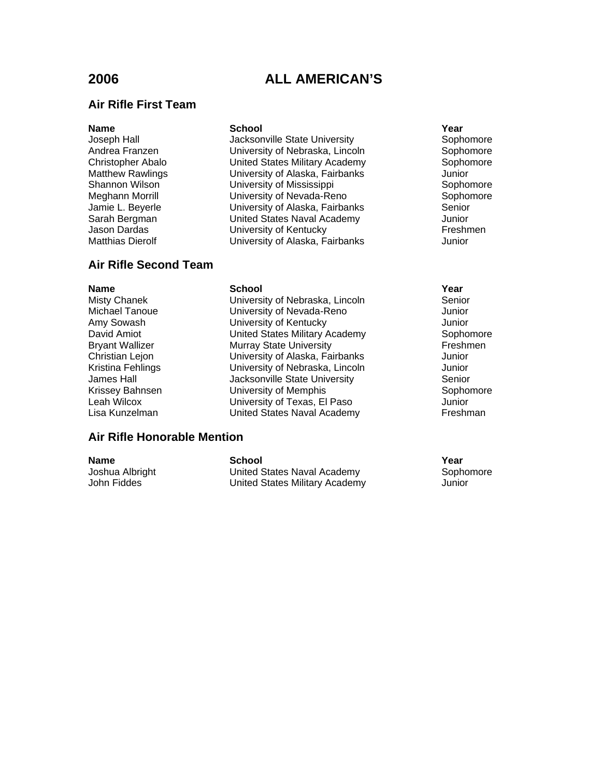### **Air Rifle First Team**

### **Name School School School Xear**

Joseph Hall **Supple State University** Sophomore Sophomore Andrea Franzen **Mandrid Christian University of Nebraska**, Lincoln **Christopher Abalo**<br>
Christopher Abalo **Mandrid Christian United States Military Academy** Sophomore United States Military Academy Matthew Rawlings University of Alaska, Fairbanks Junior Shannon Wilson University of Mississippi Sophomore<br>Meghann Morrill University of Nevada-Reno Sophomore University of Nevada-Reno Sophor<br>
University of Alaska, Fairbanks Senior<br>
Senior Jamie L. Beyerle **University of Alaska, Fairbanks** Sarah Bergman United States Naval Academy Junior University of Kentucky **Freshmen** Matthias Dierolf University of Alaska, Fairbanks Junior

## **Air Rifle Second Team**

### **Name School Year** Misty Chanek University of Nebraska, Lincoln Senior Michael Tanoue University of Nevada-Reno Junior Amy Sowash **Communist Controller University of Kentucky** Communist Controller Munior David Amiot United States Military Academy Sophomore Bryant Wallizer **Murray State University** Freshmen Christian Lejon University of Alaska, Fairbanks Junior<br>
Kristina Fehlings University of Nebraska, Lincoln Junior University of Nebraska, Lincoln Junior James Hall **The State University** Senior Senior Senior Krissey Bahnsen **Example Sophomore** University of Memphis **Sophomore** Sophomore Leah Wilcox University of Texas, El Paso Junior Lisa Kunzelman United States Naval Academy Freshman

## **Air Rifle Honorable Mention**

**Name School Year** Joshua Albright United States Naval Academy Sophomore John Fiddes United States Military Academy Junior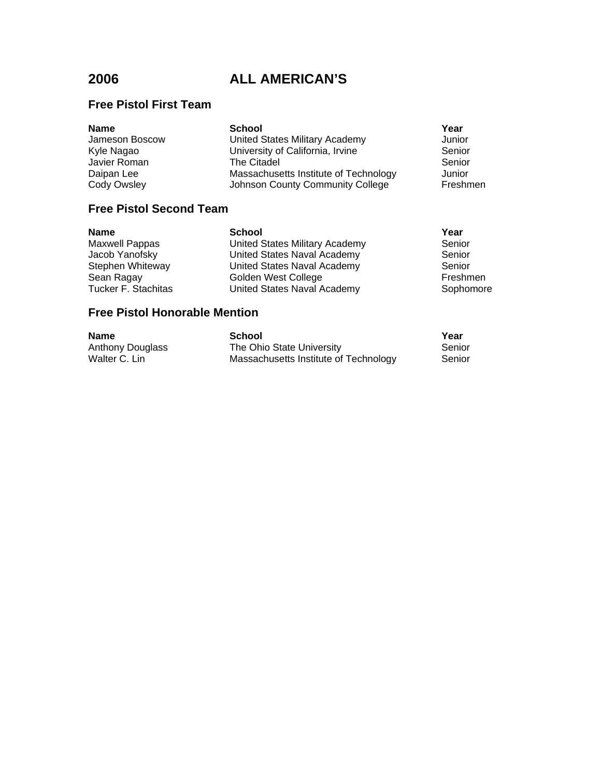# **Free Pistol First Team**

| <b>Name</b>    | <b>School</b>                         | Year     |
|----------------|---------------------------------------|----------|
| Jameson Boscow | United States Military Academy        | Junior   |
| Kyle Nagao     | University of California, Irvine      | Senior   |
| Javier Roman   | The Citadel                           | Senior   |
| Daipan Lee     | Massachusetts Institute of Technology | Junior   |
| Cody Owsley    | Johnson County Community College      | Freshmen |

# **Free Pistol Second Team**

| Name                | <b>School</b>                  | Year      |
|---------------------|--------------------------------|-----------|
| Maxwell Pappas      | United States Military Academy | Senior    |
| Jacob Yanofsky      | United States Naval Academy    | Senior    |
| Stephen Whiteway    | United States Naval Academy    | Senior    |
| Sean Ragay          | Golden West College            | Freshmen  |
| Tucker F. Stachitas | United States Naval Academy    | Sophomore |
|                     |                                |           |

# **Free Pistol Honorable Mention**

| Name             | School                                | Year   |
|------------------|---------------------------------------|--------|
| Anthony Douglass | The Ohio State University             | Senior |
| Walter C. Lin    | Massachusetts Institute of Technology | Senior |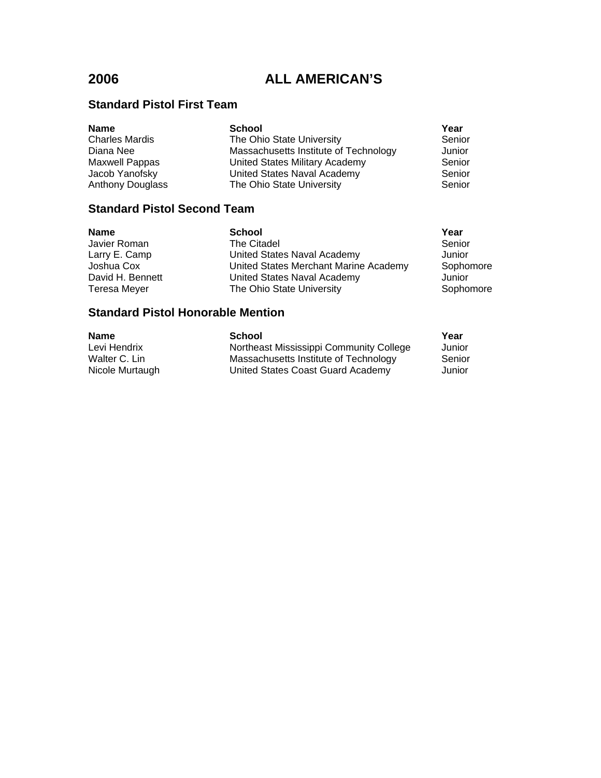# **Standard Pistol First Team**

| <b>Name</b>             | <b>School</b>                         | Year   |
|-------------------------|---------------------------------------|--------|
| <b>Charles Mardis</b>   | The Ohio State University             | Senior |
| Diana Nee               | Massachusetts Institute of Technology | Junior |
| <b>Maxwell Pappas</b>   | United States Military Academy        | Senior |
| Jacob Yanofsky          | United States Naval Academy           | Senior |
| <b>Anthony Douglass</b> | The Ohio State University             | Senior |

# **Standard Pistol Second Team**

| Name                                      | <b>School</b>                         | Year      |
|-------------------------------------------|---------------------------------------|-----------|
| Javier Roman                              | The Citadel                           | Senior    |
| Larry E. Camp                             | United States Naval Academy           | Junior    |
| Joshua Cox                                | United States Merchant Marine Academy | Sophomore |
| David H. Bennett                          | United States Naval Academy           | Junior    |
| Teresa Meyer                              | The Ohio State University             | Sophomore |
| Area Healt Blorid Historical L. Microsoft |                                       |           |

## **Standard Pistol Honorable Mention**

| <b>Name</b>     | <b>School</b>                           | Year   |
|-----------------|-----------------------------------------|--------|
| Levi Hendrix    | Northeast Mississippi Community College | Junior |
| Walter C. Lin   | Massachusetts Institute of Technology   | Senior |
| Nicole Murtaugh | United States Coast Guard Academy       | Junior |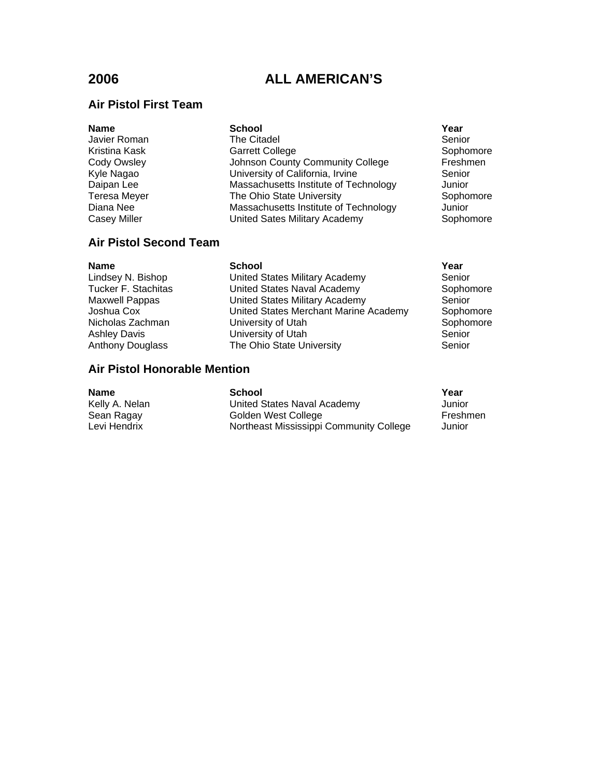## **Air Pistol First Team**

| <b>School</b>                         | Year                             |
|---------------------------------------|----------------------------------|
| The Citadel                           | Senior                           |
| <b>Garrett College</b>                | Sophor                           |
|                                       | Freshm                           |
| University of California, Irvine      | Senior                           |
| Massachusetts Institute of Technology | Junior                           |
| The Ohio State University             | Sophor                           |
| Massachusetts Institute of Technology | Junior                           |
| United Sates Military Academy         | Sophor                           |
|                                       | Johnson County Community College |

## **Air Pistol Second Team**

**Name School Year** Lindsey N. Bishop United States Military Academy Senior Tucker F. Stachitas United States Naval Academy Sophomore Maxwell Pappas United States Military Academy Senior United States Military Academy Senior Joshua Cox United States Merchant Marine Academy Sophomore Nicholas Zachman **Micholas Zachman** University of Utah **Sophomore** Sophomore Ashley Davis **No. 2. Information** University of Utah Network Senior Anthony Douglass The Ohio State University The Senior

### **Air Pistol Honorable Mention**

## **Name School Year** Kelly A. Nelan **Value Community Community Community** United States Naval Academy **Matters** Junior Sean Ragay **Sean Ragay** Golden West College **Freshmen**<br>
Levi Hendrix **Northeast Mississippi Community College** Junior Northeast Mississippi Community College Junior

Sophomore Freshmen

Sophomore

Sophomore